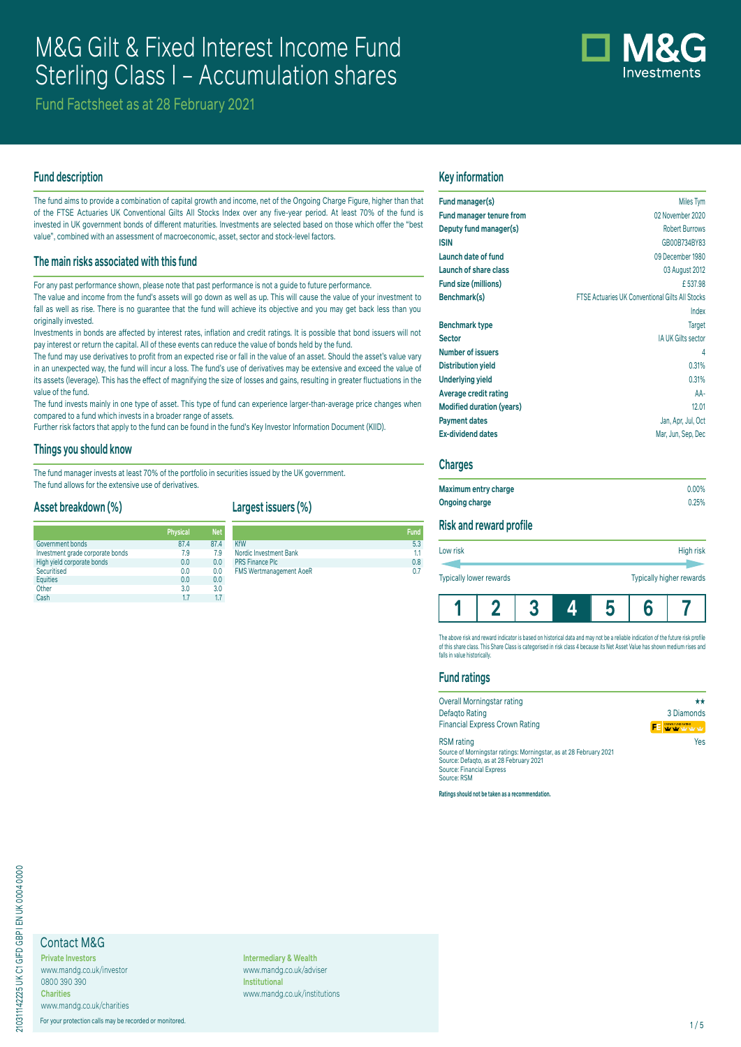# M&G Gilt & Fixed Interest Income Fund Sterling Class I – Accumulation shares



Fund Factsheet as at 28 February 2021

# **Fund description**

The fund aims to provide a combination of capital growth and income, net of the Ongoing Charge Figure, higher than that of the FTSE Actuaries UK Conventional Gilts All Stocks Index over any five-year period. At least 70% of the fund is invested in UK government bonds of different maturities. Investments are selected based on those which offer the "best value", combined with an assessment of macroeconomic, asset, sector and stock-level factors.

## **The main risks associated with this fund**

For any past performance shown, please note that past performance is not a guide to future performance.

The value and income from the fund's assets will go down as well as up. This will cause the value of your investment to fall as well as rise. There is no guarantee that the fund will achieve its objective and you may get back less than you originally invested.

Investments in bonds are affected by interest rates, inflation and credit ratings. It is possible that bond issuers will not pay interest or return the capital. All of these events can reduce the value of bonds held by the fund.

The fund may use derivatives to profit from an expected rise or fall in the value of an asset. Should the asset's value vary in an unexpected way, the fund will incur a loss. The fund's use of derivatives may be extensive and exceed the value of its assets (leverage). This has the effect of magnifying the size of losses and gains, resulting in greater fluctuations in the value of the fund.

The fund invests mainly in one type of asset. This type of fund can experience larger-than-average price changes when compared to a fund which invests in a broader range of assets.

Further risk factors that apply to the fund can be found in the fund's Key Investor Information Document (KIID).

#### **Things you should know**

The fund manager invests at least 70% of the portfolio in securities issued by the UK government. The fund allows for the extensive use of derivatives.

#### **Asset breakdown (%)**

|                                  | <b>Physical</b> | <b>Net</b> |
|----------------------------------|-----------------|------------|
| Government bonds                 | 87.4            | 87.4       |
| Investment grade corporate bonds | 7.9             | 7.9        |
| High yield corporate bonds       | 0.0             | 0.0        |
| Securitised                      | 0.0             | 0.0        |
| <b>Equities</b>                  | 0.0             | 0.0        |
| Other                            | 3.0             | 3.0        |
| Cash                             | 17              | 17         |

# **Largest issuers (%)**

**Physical**<br> **Physical**<br> **Physical**<br> **Physical**<br> **Physical Fund** KfW 5.3 Nordic Investment Bank 1.1 PRS Finance Plc 0.8<br>
EMS Wortmanagement AgeP **FMS Wertmanagement AoeR** 

## **Key information**

| Fund manager(s)                  | Miles Tym                                              |
|----------------------------------|--------------------------------------------------------|
| <b>Fund manager tenure from</b>  | 02 November 2020                                       |
| Deputy fund manager(s)           | <b>Robert Burrows</b>                                  |
| <b>ISIN</b>                      | GB00B734BY83                                           |
| Launch date of fund              | 09 December 1980                                       |
| Launch of share class            | 03 August 2012                                         |
| Fund size (millions)             | £537.98                                                |
| Benchmark(s)                     | <b>FTSE Actuaries UK Conventional Gilts All Stocks</b> |
|                                  | Index                                                  |
| <b>Benchmark type</b>            | <b>Target</b>                                          |
| <b>Sector</b>                    | IA UK Gilts sector                                     |
| <b>Number of issuers</b>         | 4                                                      |
| <b>Distribution yield</b>        | 0.31%                                                  |
| <b>Underlying yield</b>          | 0.31%                                                  |
| Average credit rating            | AA-                                                    |
| <b>Modified duration (years)</b> | 12.01                                                  |
| <b>Payment dates</b>             | Jan, Apr, Jul, Oct                                     |
| <b>Ex-dividend dates</b>         | Mar, Jun, Sep, Dec                                     |
|                                  |                                                        |

# **Charges**

| Maximum entry charge | $0.00\%$ |
|----------------------|----------|
| Ongoing charge       | 0.25%    |

# **Risk and reward profile**

| Low risk                |  | High risk |  |                          |  |
|-------------------------|--|-----------|--|--------------------------|--|
| Typically lower rewards |  |           |  | Typically higher rewards |  |
|                         |  | 5         |  |                          |  |

The above risk and reward indicator is based on historical data and may not be a reliable indication of the future risk profile of this share class. This Share Class is categorised in risk class 4 because its Net Asset Value has shown medium rises and falls in value historically.

#### **Fund ratings**

| Overall Morningstar rating                                                                                                                                                            | **                |
|---------------------------------------------------------------------------------------------------------------------------------------------------------------------------------------|-------------------|
| <b>Defagto Rating</b>                                                                                                                                                                 | 3 Diamonds        |
| <b>Financial Express Crown Rating</b>                                                                                                                                                 | CROWN FUND RATING |
| <b>RSM</b> rating<br>Source of Morningstar ratings: Morningstar, as at 28 February 2021<br>Source: Defagto, as at 28 February 2021<br><b>Source: Financial Express</b><br>Source: RSM | Yes               |

**Ratings should not be taken as a recommendation.**

# Contact M&G

**Private Investors** www.mandg.co.uk/investor 0800 390 390 **Charities** www.mandg.co.uk/charities

For your protection calls may be recorded or monitored. 1/5

**Intermediary & Wealth** www.mandg.co.uk/adviser **Institutional** www.mandg.co.uk/institutions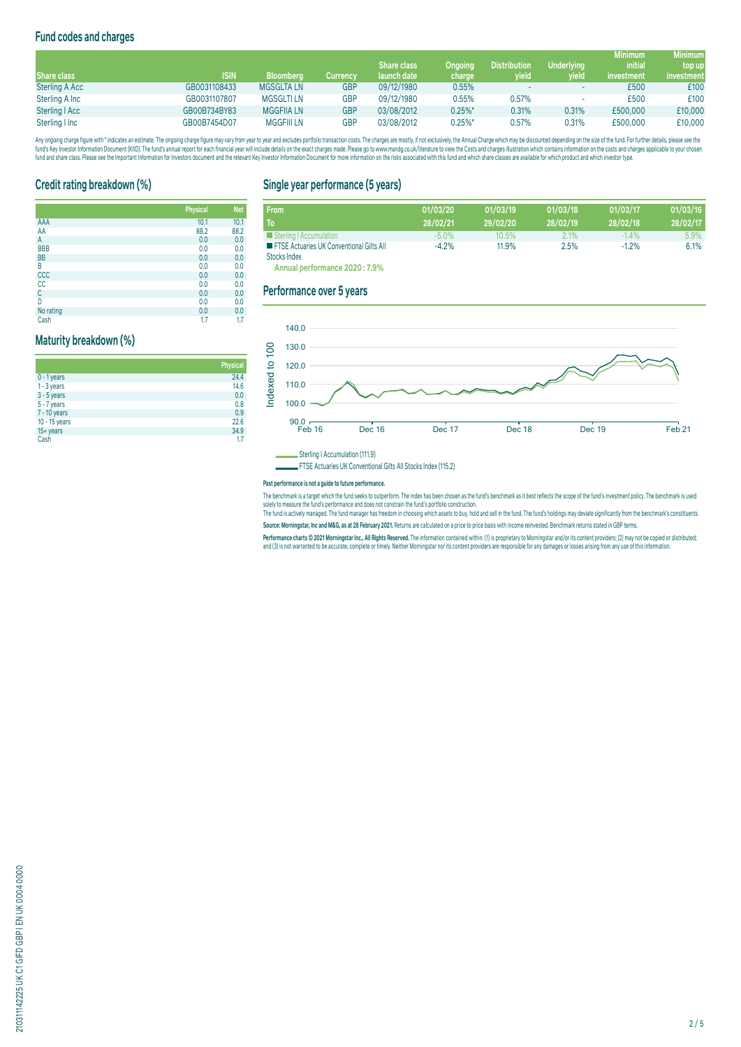# **Fund codes and charges**

|                |              |                   |            |                    |                |                     |                   | <b>Minimum</b> | <b>Minimum</b> |
|----------------|--------------|-------------------|------------|--------------------|----------------|---------------------|-------------------|----------------|----------------|
|                |              |                   |            | <b>Share class</b> | <b>Ongoing</b> | <b>Distribution</b> | <b>Underlying</b> | <i>initial</i> | top up         |
| Share class    | <b>ISIN</b>  | <b>Bloomberg</b>  | Currencv   | launch date        | charge         | yield               | wield             | investment     | investment     |
| Sterling A Acc | GB0031108433 | <b>MGSGLTA LN</b> | <b>GBP</b> | 09/12/1980         | 0.55%          |                     |                   | £500           | £100           |
| Sterling A Inc | GB0031107807 | <b>MGSGLTILN</b>  | GBP        | 09/12/1980         | 0.55%          | 0.57%               |                   | £500           | £100           |
| Sterling   Acc | GB00B734BY83 | <b>MGGFIIA LN</b> | GBP        | 03/08/2012         | $0.25\%$ *     | 0.31%               | 0.31%             | £500,000       | £10,000        |
| Sterling I Inc | GB00B7454D07 | <b>MGGFIII LN</b> | GBP        | 03/08/2012         | $0.25%$ *      | 0.57%               | 0.31%             | £500,000       | £10,000        |

Any ongoing charge rigure with "inducates an estimate. The ongoing charge trage and way from year to year and excludes portroil) transaction costs. The charges are mostly, if not exclusively, the Annual Charge should net a

## **Credit rating breakdown (%)**

|            | <b>Physical</b> | <b>Net</b> |
|------------|-----------------|------------|
| AAA        | 10.1            | 10.1       |
| AA         | 88.2            | 88.2       |
| А          | 0.0             | 0.0        |
| <b>BBB</b> | 0.0             | 0.0        |
| <b>BB</b>  | 0.0             | 0.0        |
| B          | 0.0             | 0.0        |
| CCC        | 0.0             | 0.0        |
| cc         | 0.0             | 0.0        |
| C          | 0.0             | 0.0        |
| D          | 0.0             | 0.0        |
| No rating  | 0.0             | 0.0        |
| Cash       | 1.7             | 1.7        |

#### **Maturity breakdown (%)**

|               | <b>Physical</b> |
|---------------|-----------------|
| $0 - 1$ years | 24.4            |
| $1 - 3$ years | 14.6            |
| $3 - 5$ years | 0.0             |
| 5 - 7 years   | 0.8             |
| 7 - 10 years  | 0.9             |
| 10 - 15 years | 22.6            |
| $15 + years$  | 34.9            |
| Cash          | 1.7             |

# **Single year performance (5 years)**

| <b>From</b>                                                              | 01/03/20 | 01/03/19 | 01/03/18 | 01/03/17 | 01/03/16 |
|--------------------------------------------------------------------------|----------|----------|----------|----------|----------|
| To.                                                                      | 28/02/21 | 29/02/20 | 28/02/19 | 28/02/18 | 28/02/17 |
| Sterling   Accumulation                                                  | $-5.0\%$ | 10.5%    | 2.1%     | $-1.4\%$ | 5.9%     |
| <b>EXECUTE:</b> FTSE Actuaries UK Conventional Gilts All<br>Stocks Index | $-4.2%$  | 11.9%    | 2.5%     | $-1.2%$  | 6.1%     |

**Annual performance 2020 : 7.9%**

## **Performance over 5 years**



Sterling I Accumulation (111.9)

FTSE Actuaries UK Conventional Gilts All Stocks Index (115.2)

#### **Past performance is not a guide to future performance.**

The benchmark is a target which the fund seeks to outperform. The index has been chosen as the fund's benchmark as it best reflects the scope of the fund's investment policy. The benchmark is used solely to measure the fund's performance and does not constrain the fund's portfolio construction.<br>The fund is actively managed. The fund manager has freedom in choosing which assets to buy, hold and ell in the fund. The f

**Source: Morningstar, Inc and M&G, as at 28 February 2021.** Returns are calculated on a price to price basis with income reinvested. Benchmark returns stated in GBP terms.

Performance charts © 2021 Morningstar Inc., All Rights Reserved. The information contained within: (1) is proprietary to Morningstar and/or its content providers; (2) may not be copied or distributed; and (3) is not warranted to be accurate, complete or timely. Neither Morningstar nor its content providers are responsible for any damages or losses arising from any use of this information.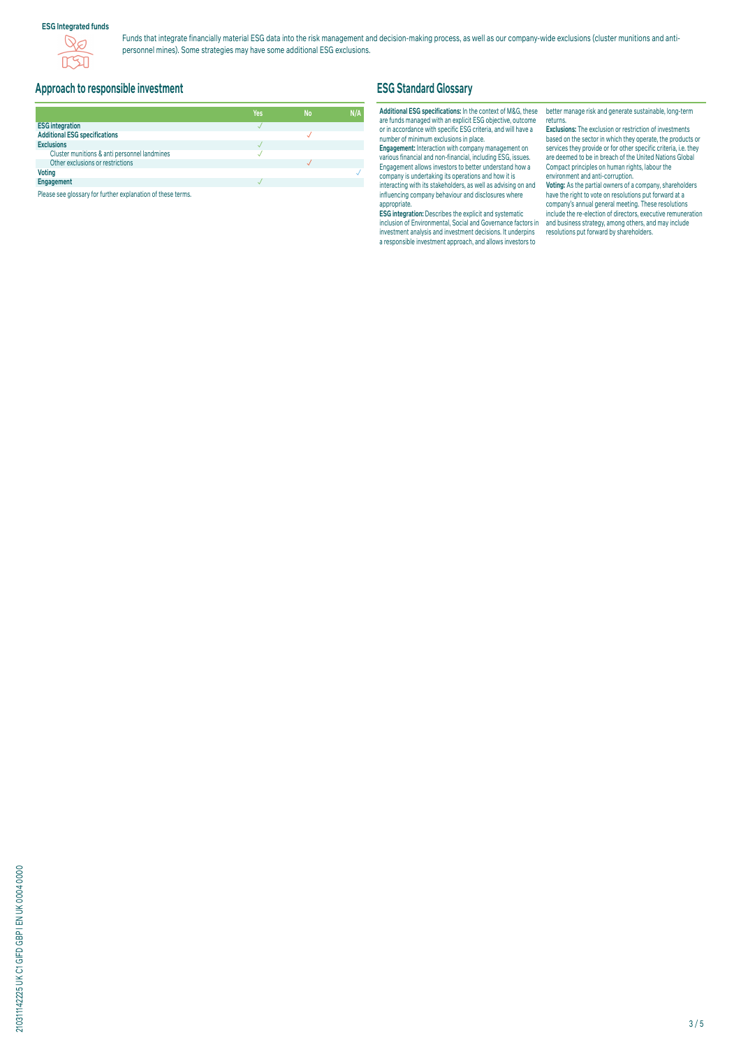#### **ESG Integrated funds**



Funds that integrate financially material ESG data into the risk management and decision-making process, as well as our company-wide exclusions (cluster munitions and antipersonnel mines). Some strategies may have some additional ESG exclusions.

# **Approach to responsible investment**

|                                              | Yes | <b>No</b> | N/A |
|----------------------------------------------|-----|-----------|-----|
| <b>ESG integration</b>                       |     |           |     |
| <b>Additional ESG specifications</b>         |     |           |     |
| <b>Exclusions</b>                            |     |           |     |
| Cluster munitions & anti personnel landmines |     |           |     |
| Other exclusions or restrictions             |     |           |     |
| <b>Voting</b>                                |     |           |     |
| Engagement                                   |     |           |     |

Please see glossary for further explanation of these terms.

# **ESG Standard Glossary**

#### **Additional ESG specifications:** In the context of M&G, these are funds managed with an explicit ESG objective, outcome or in accordance with specific ESG criteria, and will have a number of minimum exclusions in place.

**Engagement:** Interaction with company management on various financial and non-financial, including ESG, issues. Engagement allows investors to better understand how a company is undertaking its operations and how it is interacting with its stakeholders, as well as advising on and influencing company behaviour and disclosures where appropriate.

**ESG integration:** Describes the explicit and systematic inclusion of Environmental, Social and Governance factors in investment analysis and investment decisions. It underpins a responsible investment approach, and allows investors to

better manage risk and generate sustainable, long-term returns.

**Exclusions:** The exclusion or restriction of investments based on the sector in which they operate, the products or services they provide or for other specific criteria, i.e. they are deemed to be in breach of the United Nations Global Compact principles on human rights, labour the environment and anti-corruption.

**Voting:** As the partial owners of a company, shareholders have the right to vote on resolutions put forward at a company's annual general meeting. These resolutions include the re-election of directors, executive remuneration and business strategy, among others, and may include resolutions put forward by shareholders.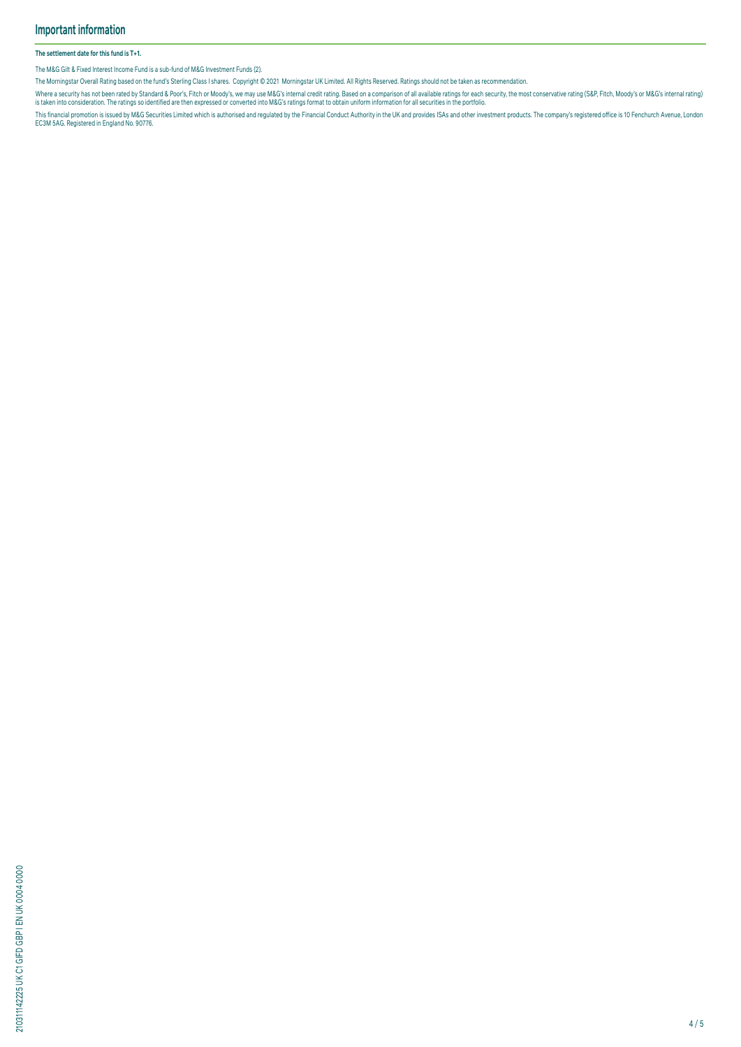#### **The settlement date for this fund is T+1.**

The M&G Gilt & Fixed Interest Income Fund is a sub-fund of M&G Investment Funds (2).

The Morningstar Overall Rating based on the fund's Sterling Class I shares. Copyright © 2021 Morningstar UK Limited. All Rights Reserved. Ratings should not be taken as recommendation.

Where a security has not been rated by Standard & Poor's, Hich or Moody's, we may use M&G's internal credit rating. Based on a comparison of all available ratings for each security, the most conservative rating (S&P, Fitch

This financial promotion is issued by M&G Securities Limited which is authorised and regulated by the Financial Conduct Authority in the UK and provides ISAs and other investment products. The company's registered office i

210311142225 UK C1 GIFD GBP I EN UK 0004 0000 210311142225 UK C1 GIFD GBP I EN UK 0004 0000